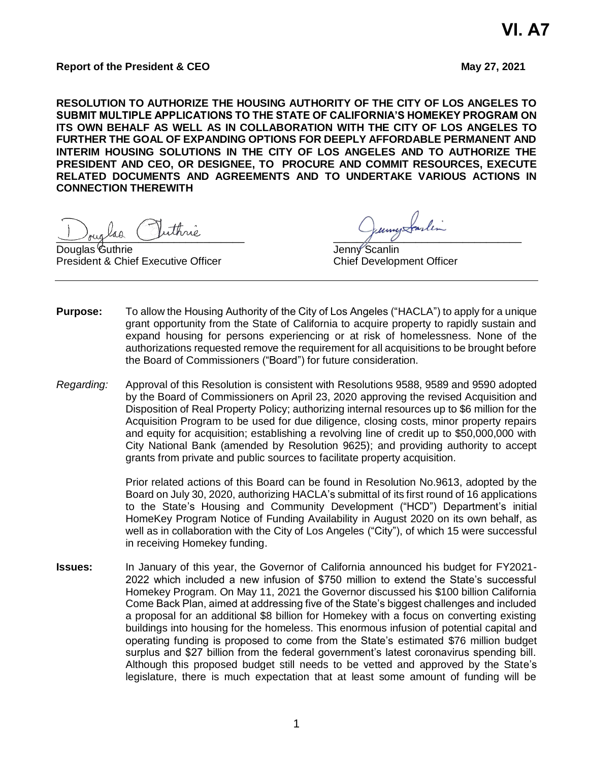## **Report of the President & CEO May 27, 2021**

**RESOLUTION TO AUTHORIZE THE HOUSING AUTHORITY OF THE CITY OF LOS ANGELES TO SUBMIT MULTIPLE APPLICATIONS TO THE STATE OF CALIFORNIA'S HOMEKEY PROGRAM ON ITS OWN BEHALF AS WELL AS IN COLLABORATION WITH THE CITY OF LOS ANGELES TO FURTHER THE GOAL OF EXPANDING OPTIONS FOR DEEPLY AFFORDABLE PERMANENT AND INTERIM HOUSING SOLUTIONS IN THE CITY OF LOS ANGELES AND TO AUTHORIZE THE PRESIDENT AND CEO, OR DESIGNEE, TO PROCURE AND COMMIT RESOURCES, EXECUTE RELATED DOCUMENTS AND AGREEMENTS AND TO UNDERTAKE VARIOUS ACTIONS IN CONNECTION THEREWITH**

\_\_\_\_\_\_\_\_\_\_\_\_\_\_\_\_\_\_\_\_\_\_\_\_\_\_\_\_\_\_\_\_ \_\_\_\_\_\_\_\_\_\_\_\_\_\_\_\_\_\_\_\_\_\_\_\_\_\_\_\_\_\_\_\_

Douglas Guthrie **Communist Communist Communist Communist Communist Communist Communist Communist Communist Communist Communist Communist Communist Communist Communist Communist Communist Communist Communist Communist Commu** President & Chief Executive Officer Chief Development Officer

- **Purpose:** To allow the Housing Authority of the City of Los Angeles ("HACLA") to apply for a unique grant opportunity from the State of California to acquire property to rapidly sustain and expand housing for persons experiencing or at risk of homelessness. None of the authorizations requested remove the requirement for all acquisitions to be brought before the Board of Commissioners ("Board") for future consideration.
- *Regarding:* Approval of this Resolution is consistent with Resolutions 9588, 9589 and 9590 adopted by the Board of Commissioners on April 23, 2020 approving the revised Acquisition and Disposition of Real Property Policy; authorizing internal resources up to \$6 million for the Acquisition Program to be used for due diligence, closing costs, minor property repairs and equity for acquisition; establishing a revolving line of credit up to \$50,000,000 with City National Bank (amended by Resolution 9625); and providing authority to accept grants from private and public sources to facilitate property acquisition.

Prior related actions of this Board can be found in Resolution No.9613, adopted by the Board on July 30, 2020, authorizing HACLA's submittal of its first round of 16 applications to the State's Housing and Community Development ("HCD") Department's initial HomeKey Program Notice of Funding Availability in August 2020 on its own behalf, as well as in collaboration with the City of Los Angeles ("City"), of which 15 were successful in receiving Homekey funding.

**Issues:** In January of this year, the Governor of California announced his budget for FY2021- 2022 which included a new infusion of \$750 million to extend the State's successful Homekey Program. On May 11, 2021 the Governor discussed his \$100 billion California Come Back Plan, aimed at addressing five of the State's biggest challenges and included a proposal for an additional \$8 billion for Homekey with a focus on converting existing buildings into housing for the homeless. This enormous infusion of potential capital and operating funding is proposed to come from the State's estimated \$76 million budget surplus and \$27 billion from the federal government's latest coronavirus spending bill. Although this proposed budget still needs to be vetted and approved by the State's legislature, there is much expectation that at least some amount of funding will be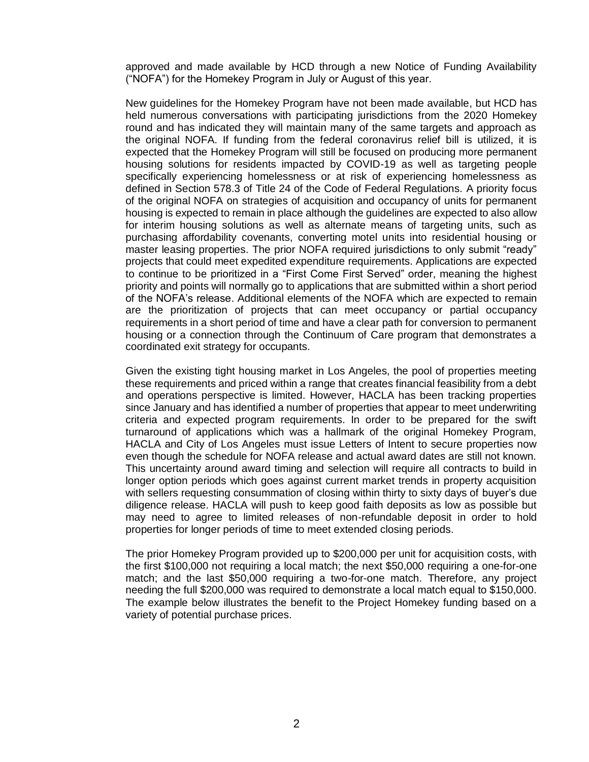approved and made available by HCD through a new Notice of Funding Availability ("NOFA") for the Homekey Program in July or August of this year.

New guidelines for the Homekey Program have not been made available, but HCD has held numerous conversations with participating jurisdictions from the 2020 Homekey round and has indicated they will maintain many of the same targets and approach as the original NOFA. If funding from the federal coronavirus relief bill is utilized, it is expected that the Homekey Program will still be focused on producing more permanent housing solutions for residents impacted by COVID-19 as well as targeting people specifically experiencing homelessness or at risk of experiencing homelessness as defined in Section 578.3 of Title 24 of the Code of Federal Regulations. A priority focus of the original NOFA on strategies of acquisition and occupancy of units for permanent housing is expected to remain in place although the guidelines are expected to also allow for interim housing solutions as well as alternate means of targeting units, such as purchasing affordability covenants, converting motel units into residential housing or master leasing properties. The prior NOFA required jurisdictions to only submit "ready" projects that could meet expedited expenditure requirements. Applications are expected to continue to be prioritized in a "First Come First Served" order, meaning the highest priority and points will normally go to applications that are submitted within a short period of the NOFA's release. Additional elements of the NOFA which are expected to remain are the prioritization of projects that can meet occupancy or partial occupancy requirements in a short period of time and have a clear path for conversion to permanent housing or a connection through the Continuum of Care program that demonstrates a coordinated exit strategy for occupants.

Given the existing tight housing market in Los Angeles, the pool of properties meeting these requirements and priced within a range that creates financial feasibility from a debt and operations perspective is limited. However, HACLA has been tracking properties since January and has identified a number of properties that appear to meet underwriting criteria and expected program requirements. In order to be prepared for the swift turnaround of applications which was a hallmark of the original Homekey Program, HACLA and City of Los Angeles must issue Letters of Intent to secure properties now even though the schedule for NOFA release and actual award dates are still not known. This uncertainty around award timing and selection will require all contracts to build in longer option periods which goes against current market trends in property acquisition with sellers requesting consummation of closing within thirty to sixty days of buyer's due diligence release. HACLA will push to keep good faith deposits as low as possible but may need to agree to limited releases of non-refundable deposit in order to hold properties for longer periods of time to meet extended closing periods.

The prior Homekey Program provided up to \$200,000 per unit for acquisition costs, with the first \$100,000 not requiring a local match; the next \$50,000 requiring a one-for-one match; and the last \$50,000 requiring a two-for-one match. Therefore, any project needing the full \$200,000 was required to demonstrate a local match equal to \$150,000. The example below illustrates the benefit to the Project Homekey funding based on a variety of potential purchase prices.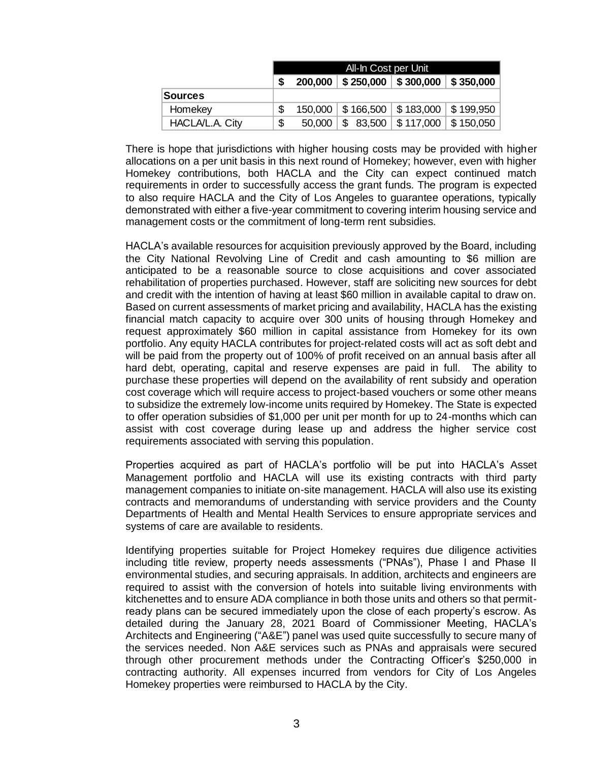|                 | All-In Cost per Unit |         |              |                          |                                             |
|-----------------|----------------------|---------|--------------|--------------------------|---------------------------------------------|
|                 | S                    | 200,000 |              |                          | $$250,000$   \$ 300,000   \$ 350,000        |
| Sources         |                      |         |              |                          |                                             |
| Homekey         | S                    |         |              |                          | 150,000   \$166,500   \$183,000   \$199,950 |
| HACLA/L.A. City | \$                   | 50,000  | \$<br>83,500 | $\frac{1}{2}$ \$ 117,000 | \$150,050                                   |

There is hope that jurisdictions with higher housing costs may be provided with higher allocations on a per unit basis in this next round of Homekey; however, even with higher Homekey contributions, both HACLA and the City can expect continued match requirements in order to successfully access the grant funds. The program is expected to also require HACLA and the City of Los Angeles to guarantee operations, typically demonstrated with either a five-year commitment to covering interim housing service and management costs or the commitment of long-term rent subsidies.

HACLA's available resources for acquisition previously approved by the Board, including the City National Revolving Line of Credit and cash amounting to \$6 million are anticipated to be a reasonable source to close acquisitions and cover associated rehabilitation of properties purchased. However, staff are soliciting new sources for debt and credit with the intention of having at least \$60 million in available capital to draw on. Based on current assessments of market pricing and availability, HACLA has the existing financial match capacity to acquire over 300 units of housing through Homekey and request approximately \$60 million in capital assistance from Homekey for its own portfolio. Any equity HACLA contributes for project-related costs will act as soft debt and will be paid from the property out of 100% of profit received on an annual basis after all hard debt, operating, capital and reserve expenses are paid in full. The ability to purchase these properties will depend on the availability of rent subsidy and operation cost coverage which will require access to project-based vouchers or some other means to subsidize the extremely low-income units required by Homekey. The State is expected to offer operation subsidies of \$1,000 per unit per month for up to 24-months which can assist with cost coverage during lease up and address the higher service cost requirements associated with serving this population.

Properties acquired as part of HACLA's portfolio will be put into HACLA's Asset Management portfolio and HACLA will use its existing contracts with third party management companies to initiate on-site management. HACLA will also use its existing contracts and memorandums of understanding with service providers and the County Departments of Health and Mental Health Services to ensure appropriate services and systems of care are available to residents.

Identifying properties suitable for Project Homekey requires due diligence activities including title review, property needs assessments ("PNAs"), Phase I and Phase II environmental studies, and securing appraisals. In addition, architects and engineers are required to assist with the conversion of hotels into suitable living environments with kitchenettes and to ensure ADA compliance in both those units and others so that permitready plans can be secured immediately upon the close of each property's escrow. As detailed during the January 28, 2021 Board of Commissioner Meeting, HACLA's Architects and Engineering ("A&E") panel was used quite successfully to secure many of the services needed. Non A&E services such as PNAs and appraisals were secured through other procurement methods under the Contracting Officer's \$250,000 in contracting authority. All expenses incurred from vendors for City of Los Angeles Homekey properties were reimbursed to HACLA by the City.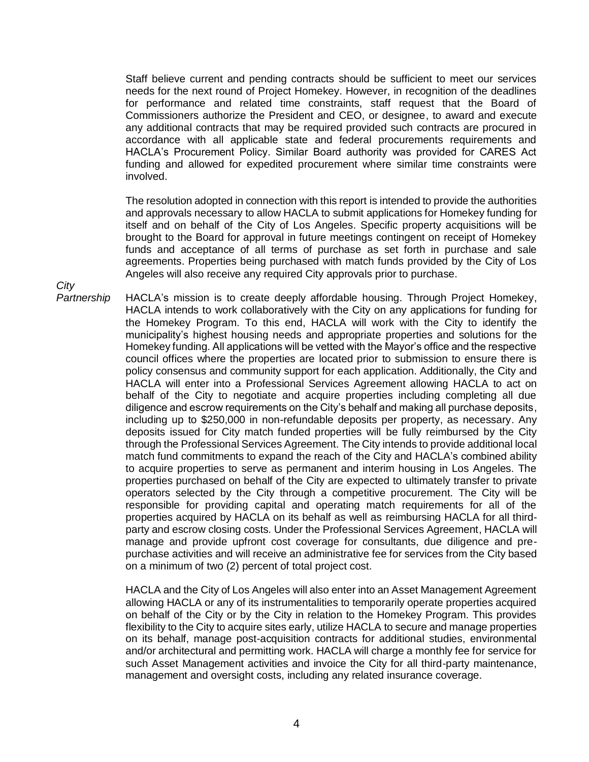Staff believe current and pending contracts should be sufficient to meet our services needs for the next round of Project Homekey. However, in recognition of the deadlines for performance and related time constraints, staff request that the Board of Commissioners authorize the President and CEO, or designee, to award and execute any additional contracts that may be required provided such contracts are procured in accordance with all applicable state and federal procurements requirements and HACLA's Procurement Policy. Similar Board authority was provided for CARES Act funding and allowed for expedited procurement where similar time constraints were involved.

The resolution adopted in connection with this report is intended to provide the authorities and approvals necessary to allow HACLA to submit applications for Homekey funding for itself and on behalf of the City of Los Angeles. Specific property acquisitions will be brought to the Board for approval in future meetings contingent on receipt of Homekey funds and acceptance of all terms of purchase as set forth in purchase and sale agreements. Properties being purchased with match funds provided by the City of Los Angeles will also receive any required City approvals prior to purchase.

*City* 

*Partnership* HACLA's mission is to create deeply affordable housing. Through Project Homekey, HACLA intends to work collaboratively with the City on any applications for funding for the Homekey Program. To this end, HACLA will work with the City to identify the municipality's highest housing needs and appropriate properties and solutions for the Homekey funding. All applications will be vetted with the Mayor's office and the respective council offices where the properties are located prior to submission to ensure there is policy consensus and community support for each application. Additionally, the City and HACLA will enter into a Professional Services Agreement allowing HACLA to act on behalf of the City to negotiate and acquire properties including completing all due diligence and escrow requirements on the City's behalf and making all purchase deposits, including up to \$250,000 in non-refundable deposits per property, as necessary. Any deposits issued for City match funded properties will be fully reimbursed by the City through the Professional Services Agreement. The City intends to provide additional local match fund commitments to expand the reach of the City and HACLA's combined ability to acquire properties to serve as permanent and interim housing in Los Angeles. The properties purchased on behalf of the City are expected to ultimately transfer to private operators selected by the City through a competitive procurement. The City will be responsible for providing capital and operating match requirements for all of the properties acquired by HACLA on its behalf as well as reimbursing HACLA for all thirdparty and escrow closing costs. Under the Professional Services Agreement, HACLA will manage and provide upfront cost coverage for consultants, due diligence and prepurchase activities and will receive an administrative fee for services from the City based on a minimum of two (2) percent of total project cost.

> HACLA and the City of Los Angeles will also enter into an Asset Management Agreement allowing HACLA or any of its instrumentalities to temporarily operate properties acquired on behalf of the City or by the City in relation to the Homekey Program. This provides flexibility to the City to acquire sites early, utilize HACLA to secure and manage properties on its behalf, manage post-acquisition contracts for additional studies, environmental and/or architectural and permitting work. HACLA will charge a monthly fee for service for such Asset Management activities and invoice the City for all third-party maintenance, management and oversight costs, including any related insurance coverage.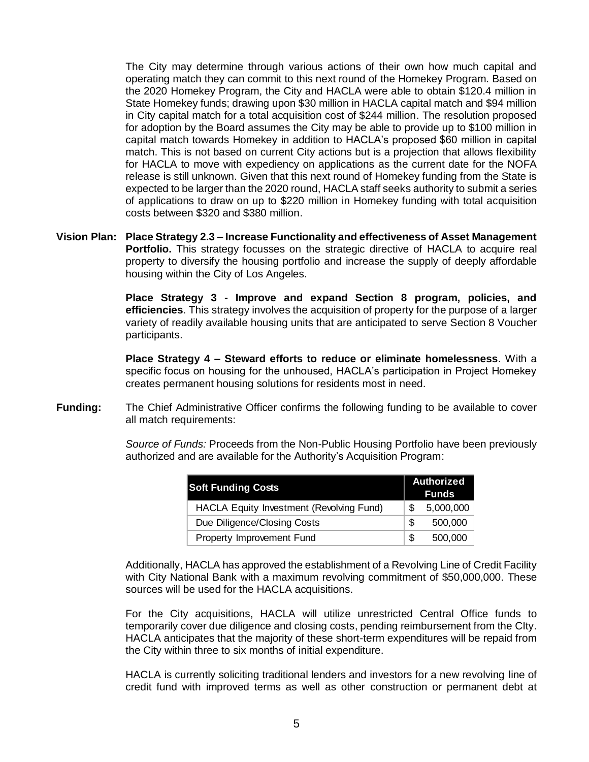The City may determine through various actions of their own how much capital and operating match they can commit to this next round of the Homekey Program. Based on the 2020 Homekey Program, the City and HACLA were able to obtain \$120.4 million in State Homekey funds; drawing upon \$30 million in HACLA capital match and \$94 million in City capital match for a total acquisition cost of \$244 million. The resolution proposed for adoption by the Board assumes the City may be able to provide up to \$100 million in capital match towards Homekey in addition to HACLA's proposed \$60 million in capital match. This is not based on current City actions but is a projection that allows flexibility for HACLA to move with expediency on applications as the current date for the NOFA release is still unknown. Given that this next round of Homekey funding from the State is expected to be larger than the 2020 round, HACLA staff seeks authority to submit a series of applications to draw on up to \$220 million in Homekey funding with total acquisition costs between \$320 and \$380 million.

**Vision Plan: Place Strategy 2.3 – Increase Functionality and effectiveness of Asset Management**  Portfolio. This strategy focusses on the strategic directive of HACLA to acquire real property to diversify the housing portfolio and increase the supply of deeply affordable housing within the City of Los Angeles.

> **Place Strategy 3 - Improve and expand Section 8 program, policies, and efficiencies**. This strategy involves the acquisition of property for the purpose of a larger variety of readily available housing units that are anticipated to serve Section 8 Voucher participants.

> **Place Strategy 4 – Steward efforts to reduce or eliminate homelessness**. With a specific focus on housing for the unhoused, HACLA's participation in Project Homekey creates permanent housing solutions for residents most in need.

**Funding:** The Chief Administrative Officer confirms the following funding to be available to cover all match requirements:

> *Source of Funds:* Proceeds from the Non-Public Housing Portfolio have been previously authorized and are available for the Authority's Acquisition Program:

| <b>Soft Funding Costs</b>                |     | <b>Authorized</b><br><b>Funds</b> |  |
|------------------------------------------|-----|-----------------------------------|--|
| HACLA Equity Investment (Revolving Fund) | \$. | 5,000,000                         |  |
| Due Diligence/Closing Costs              | \$. | 500,000                           |  |
| Property Improvement Fund                | \$. | 500,000                           |  |

Additionally, HACLA has approved the establishment of a Revolving Line of Credit Facility with City National Bank with a maximum revolving commitment of \$50,000,000. These sources will be used for the HACLA acquisitions.

For the City acquisitions, HACLA will utilize unrestricted Central Office funds to temporarily cover due diligence and closing costs, pending reimbursement from the CIty. HACLA anticipates that the majority of these short-term expenditures will be repaid from the City within three to six months of initial expenditure.

HACLA is currently soliciting traditional lenders and investors for a new revolving line of credit fund with improved terms as well as other construction or permanent debt at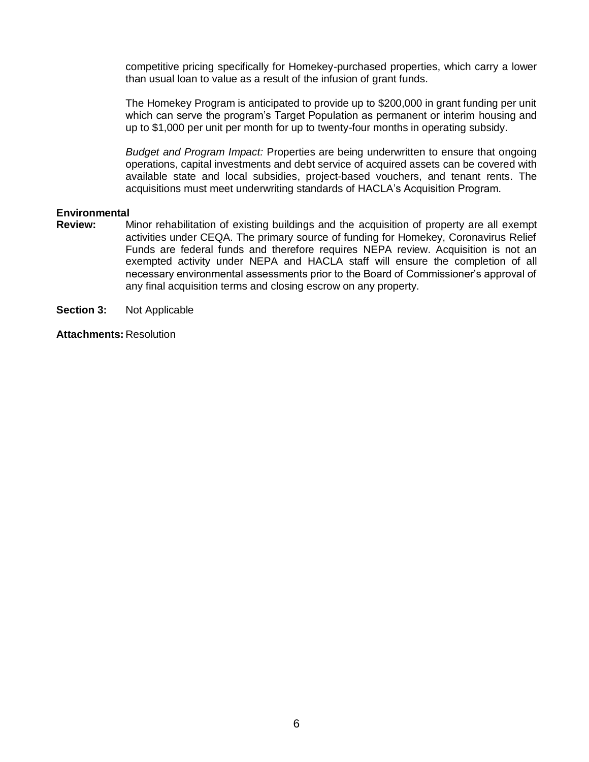competitive pricing specifically for Homekey-purchased properties, which carry a lower than usual loan to value as a result of the infusion of grant funds.

The Homekey Program is anticipated to provide up to \$200,000 in grant funding per unit which can serve the program's Target Population as permanent or interim housing and up to \$1,000 per unit per month for up to twenty-four months in operating subsidy.

*Budget and Program Impact:* Properties are being underwritten to ensure that ongoing operations, capital investments and debt service of acquired assets can be covered with available state and local subsidies, project-based vouchers, and tenant rents. The acquisitions must meet underwriting standards of HACLA's Acquisition Program.

## **Environmental**

- **Review:** Minor rehabilitation of existing buildings and the acquisition of property are all exempt activities under CEQA. The primary source of funding for Homekey, Coronavirus Relief Funds are federal funds and therefore requires NEPA review. Acquisition is not an exempted activity under NEPA and HACLA staff will ensure the completion of all necessary environmental assessments prior to the Board of Commissioner's approval of any final acquisition terms and closing escrow on any property.
- **Section 3:** Not Applicable

**Attachments:** Resolution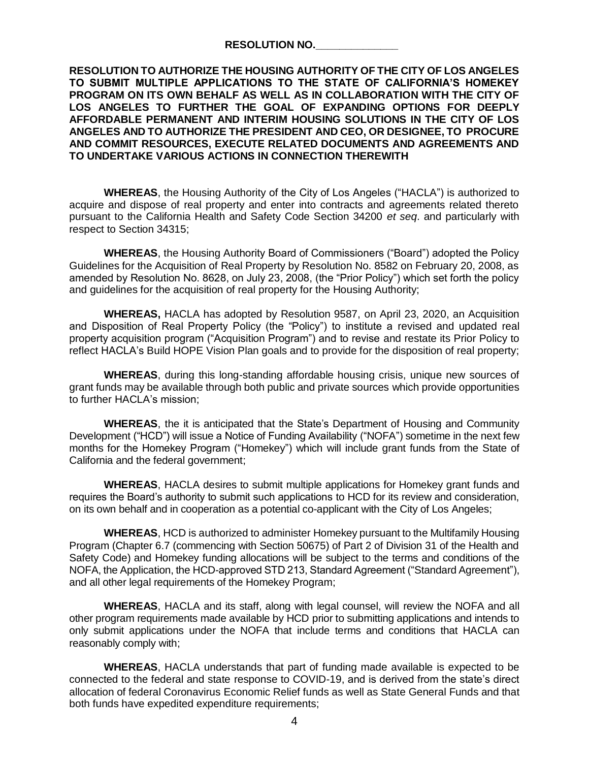| <b>RESOLUTION NO.</b> |  |
|-----------------------|--|
|                       |  |

**RESOLUTION TO AUTHORIZE THE HOUSING AUTHORITY OF THE CITY OF LOS ANGELES TO SUBMIT MULTIPLE APPLICATIONS TO THE STATE OF CALIFORNIA'S HOMEKEY PROGRAM ON ITS OWN BEHALF AS WELL AS IN COLLABORATION WITH THE CITY OF LOS ANGELES TO FURTHER THE GOAL OF EXPANDING OPTIONS FOR DEEPLY AFFORDABLE PERMANENT AND INTERIM HOUSING SOLUTIONS IN THE CITY OF LOS ANGELES AND TO AUTHORIZE THE PRESIDENT AND CEO, OR DESIGNEE, TO PROCURE AND COMMIT RESOURCES, EXECUTE RELATED DOCUMENTS AND AGREEMENTS AND TO UNDERTAKE VARIOUS ACTIONS IN CONNECTION THEREWITH**

**WHEREAS**, the Housing Authority of the City of Los Angeles ("HACLA") is authorized to acquire and dispose of real property and enter into contracts and agreements related thereto pursuant to the California Health and Safety Code Section 34200 *et seq*. and particularly with respect to Section 34315;

**WHEREAS**, the Housing Authority Board of Commissioners ("Board") adopted the Policy Guidelines for the Acquisition of Real Property by Resolution No. 8582 on February 20, 2008, as amended by Resolution No. 8628, on July 23, 2008, (the "Prior Policy") which set forth the policy and guidelines for the acquisition of real property for the Housing Authority;

**WHEREAS,** HACLA has adopted by Resolution 9587, on April 23, 2020, an Acquisition and Disposition of Real Property Policy (the "Policy") to institute a revised and updated real property acquisition program ("Acquisition Program") and to revise and restate its Prior Policy to reflect HACLA's Build HOPE Vision Plan goals and to provide for the disposition of real property;

**WHEREAS**, during this long-standing affordable housing crisis, unique new sources of grant funds may be available through both public and private sources which provide opportunities to further HACLA's mission;

**WHEREAS**, the it is anticipated that the State's Department of Housing and Community Development ("HCD") will issue a Notice of Funding Availability ("NOFA") sometime in the next few months for the Homekey Program ("Homekey") which will include grant funds from the State of California and the federal government;

**WHEREAS**, HACLA desires to submit multiple applications for Homekey grant funds and requires the Board's authority to submit such applications to HCD for its review and consideration, on its own behalf and in cooperation as a potential co-applicant with the City of Los Angeles;

**WHEREAS**, HCD is authorized to administer Homekey pursuant to the Multifamily Housing Program (Chapter 6.7 (commencing with Section 50675) of Part 2 of Division 31 of the Health and Safety Code) and Homekey funding allocations will be subject to the terms and conditions of the NOFA, the Application, the HCD-approved STD 213, Standard Agreement ("Standard Agreement"), and all other legal requirements of the Homekey Program;

**WHEREAS**, HACLA and its staff, along with legal counsel, will review the NOFA and all other program requirements made available by HCD prior to submitting applications and intends to only submit applications under the NOFA that include terms and conditions that HACLA can reasonably comply with;

**WHEREAS**, HACLA understands that part of funding made available is expected to be connected to the federal and state response to COVID-19, and is derived from the state's direct allocation of federal Coronavirus Economic Relief funds as well as State General Funds and that both funds have expedited expenditure requirements;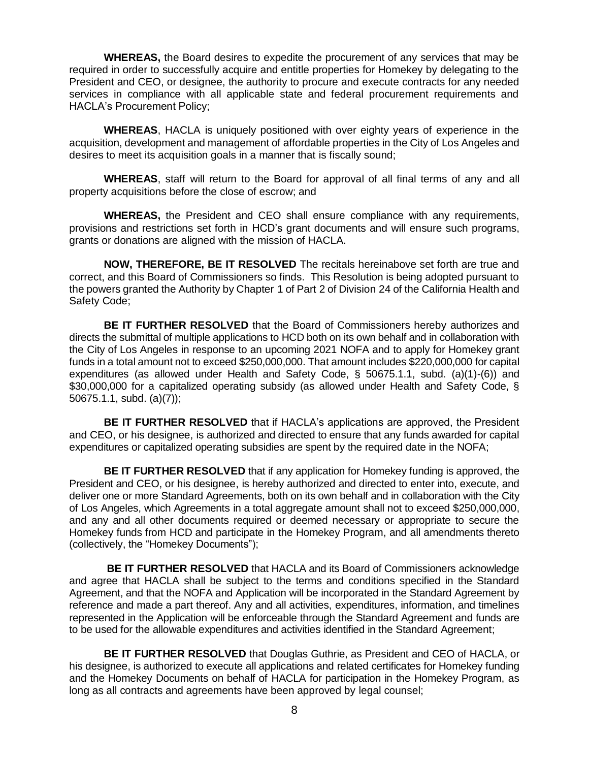**WHEREAS,** the Board desires to expedite the procurement of any services that may be required in order to successfully acquire and entitle properties for Homekey by delegating to the President and CEO, or designee, the authority to procure and execute contracts for any needed services in compliance with all applicable state and federal procurement requirements and HACLA's Procurement Policy;

**WHEREAS**, HACLA is uniquely positioned with over eighty years of experience in the acquisition, development and management of affordable properties in the City of Los Angeles and desires to meet its acquisition goals in a manner that is fiscally sound;

**WHEREAS**, staff will return to the Board for approval of all final terms of any and all property acquisitions before the close of escrow; and

**WHEREAS,** the President and CEO shall ensure compliance with any requirements, provisions and restrictions set forth in HCD's grant documents and will ensure such programs, grants or donations are aligned with the mission of HACLA.

**NOW, THEREFORE, BE IT RESOLVED** The recitals hereinabove set forth are true and correct, and this Board of Commissioners so finds. This Resolution is being adopted pursuant to the powers granted the Authority by Chapter 1 of Part 2 of Division 24 of the California Health and Safety Code;

**BE IT FURTHER RESOLVED** that the Board of Commissioners hereby authorizes and directs the submittal of multiple applications to HCD both on its own behalf and in collaboration with the City of Los Angeles in response to an upcoming 2021 NOFA and to apply for Homekey grant funds in a total amount not to exceed \$250,000,000. That amount includes \$220,000,000 for capital expenditures (as allowed under Health and Safety Code, § 50675.1.1, subd. (a)(1)-(6)) and \$30,000,000 for a capitalized operating subsidy (as allowed under Health and Safety Code, § 50675.1.1, subd. (a)(7));

**BE IT FURTHER RESOLVED** that if HACLA's applications are approved, the President and CEO, or his designee, is authorized and directed to ensure that any funds awarded for capital expenditures or capitalized operating subsidies are spent by the required date in the NOFA;

**BE IT FURTHER RESOLVED** that if any application for Homekey funding is approved, the President and CEO, or his designee, is hereby authorized and directed to enter into, execute, and deliver one or more Standard Agreements, both on its own behalf and in collaboration with the City of Los Angeles, which Agreements in a total aggregate amount shall not to exceed \$250,000,000, and any and all other documents required or deemed necessary or appropriate to secure the Homekey funds from HCD and participate in the Homekey Program, and all amendments thereto (collectively, the "Homekey Documents");

**BE IT FURTHER RESOLVED** that HACLA and its Board of Commissioners acknowledge and agree that HACLA shall be subject to the terms and conditions specified in the Standard Agreement, and that the NOFA and Application will be incorporated in the Standard Agreement by reference and made a part thereof. Any and all activities, expenditures, information, and timelines represented in the Application will be enforceable through the Standard Agreement and funds are to be used for the allowable expenditures and activities identified in the Standard Agreement;

**BE IT FURTHER RESOLVED** that Douglas Guthrie, as President and CEO of HACLA, or his designee, is authorized to execute all applications and related certificates for Homekey funding and the Homekey Documents on behalf of HACLA for participation in the Homekey Program, as long as all contracts and agreements have been approved by legal counsel;